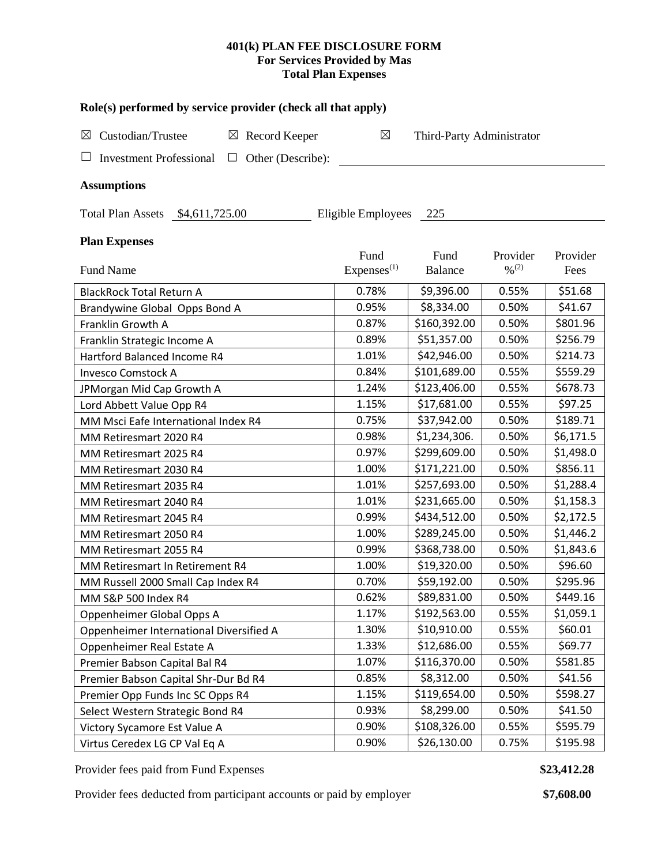## **401(k) PLAN FEE DISCLOSURE FORM For Services Provided by Mas Total Plan Expenses**

| Role(s) performed by service provider (check all that apply)            |                                |                           |                                          |                  |  |  |  |  |  |  |  |
|-------------------------------------------------------------------------|--------------------------------|---------------------------|------------------------------------------|------------------|--|--|--|--|--|--|--|
| $\boxtimes$<br>Custodian/Trustee<br>$\boxtimes$ Record Keeper           | $\boxtimes$                    | Third-Party Administrator |                                          |                  |  |  |  |  |  |  |  |
| <b>Investment Professional</b><br>$\Box$ Other (Describe):              |                                |                           |                                          |                  |  |  |  |  |  |  |  |
| <b>Assumptions</b>                                                      |                                |                           |                                          |                  |  |  |  |  |  |  |  |
| <b>Total Plan Assets</b><br>\$4,611,725.00<br>Eligible Employees<br>225 |                                |                           |                                          |                  |  |  |  |  |  |  |  |
| <b>Plan Expenses</b>                                                    |                                |                           |                                          |                  |  |  |  |  |  |  |  |
| <b>Fund Name</b>                                                        | Fund<br>Express <sup>(1)</sup> | Fund<br><b>Balance</b>    | Provider<br>$\frac{0}{2}$ <sup>(2)</sup> | Provider<br>Fees |  |  |  |  |  |  |  |
| <b>BlackRock Total Return A</b>                                         | 0.78%                          | \$9,396.00                | 0.55%                                    | \$51.68          |  |  |  |  |  |  |  |
| Brandywine Global Opps Bond A                                           | 0.95%                          | \$8,334.00                | 0.50%                                    | \$41.67          |  |  |  |  |  |  |  |
| Franklin Growth A                                                       | 0.87%                          | \$160,392.00              | 0.50%                                    | \$801.96         |  |  |  |  |  |  |  |
| Franklin Strategic Income A                                             | 0.89%                          | \$51,357.00               | 0.50%                                    | \$256.79         |  |  |  |  |  |  |  |
| Hartford Balanced Income R4                                             | 1.01%                          | \$42,946.00               | 0.50%                                    | \$214.73         |  |  |  |  |  |  |  |
| <b>Invesco Comstock A</b>                                               | 0.84%                          | \$101,689.00              | 0.55%                                    | \$559.29         |  |  |  |  |  |  |  |
| JPMorgan Mid Cap Growth A                                               | 1.24%                          | \$123,406.00              | 0.55%                                    | \$678.73         |  |  |  |  |  |  |  |
| Lord Abbett Value Opp R4                                                | 1.15%                          | \$17,681.00               | 0.55%                                    | \$97.25          |  |  |  |  |  |  |  |
| MM Msci Eafe International Index R4                                     | 0.75%                          | \$37,942.00               | 0.50%                                    | \$189.71         |  |  |  |  |  |  |  |
| MM Retiresmart 2020 R4                                                  | 0.98%                          | \$1,234,306.              | 0.50%                                    | \$6,171.5        |  |  |  |  |  |  |  |
| MM Retiresmart 2025 R4                                                  | 0.97%                          | \$299,609.00              | 0.50%                                    | \$1,498.0        |  |  |  |  |  |  |  |
| MM Retiresmart 2030 R4                                                  | 1.00%                          | \$171,221.00              | 0.50%                                    | \$856.11         |  |  |  |  |  |  |  |
| MM Retiresmart 2035 R4                                                  | 1.01%                          | \$257,693.00              | 0.50%                                    | \$1,288.4        |  |  |  |  |  |  |  |
| MM Retiresmart 2040 R4                                                  | 1.01%                          | \$231,665.00              | 0.50%                                    | \$1,158.3        |  |  |  |  |  |  |  |
| MM Retiresmart 2045 R4                                                  | 0.99%                          | \$434,512.00              | 0.50%                                    | \$2,172.5        |  |  |  |  |  |  |  |
| MM Retiresmart 2050 R4                                                  | 1.00%                          | \$289,245.00              | 0.50%                                    | \$1,446.2        |  |  |  |  |  |  |  |
| MM Retiresmart 2055 R4                                                  | 0.99%                          | \$368,738.00              | 0.50%                                    | \$1,843.6        |  |  |  |  |  |  |  |
| MM Retiresmart In Retirement R4                                         | 1.00%                          | \$19,320.00               | 0.50%                                    | \$96.60          |  |  |  |  |  |  |  |
| MM Russell 2000 Small Cap Index R4                                      | 0.70%                          | \$59,192.00               | 0.50%                                    | \$295.96         |  |  |  |  |  |  |  |
| MM S&P 500 Index R4                                                     | 0.62%                          | \$89,831.00               | 0.50%                                    | \$449.16         |  |  |  |  |  |  |  |
| Oppenheimer Global Opps A                                               | 1.17%                          | \$192,563.00              | 0.55%                                    | \$1,059.1        |  |  |  |  |  |  |  |
| Oppenheimer International Diversified A                                 | 1.30%                          | \$10,910.00               | 0.55%                                    | \$60.01          |  |  |  |  |  |  |  |
| Oppenheimer Real Estate A                                               | 1.33%                          | \$12,686.00               | 0.55%                                    | \$69.77          |  |  |  |  |  |  |  |
| Premier Babson Capital Bal R4                                           | 1.07%                          | \$116,370.00              | 0.50%                                    | \$581.85         |  |  |  |  |  |  |  |
| Premier Babson Capital Shr-Dur Bd R4                                    | 0.85%                          | \$8,312.00                | 0.50%                                    | \$41.56          |  |  |  |  |  |  |  |
| Premier Opp Funds Inc SC Opps R4                                        | 1.15%                          | \$119,654.00              | 0.50%                                    | \$598.27         |  |  |  |  |  |  |  |
| Select Western Strategic Bond R4                                        | 0.93%                          | \$8,299.00                | 0.50%                                    | \$41.50          |  |  |  |  |  |  |  |
| Victory Sycamore Est Value A                                            | 0.90%                          | \$108,326.00              | 0.55%                                    | \$595.79         |  |  |  |  |  |  |  |
| Virtus Ceredex LG CP Val Eq A                                           | 0.90%                          | \$26,130.00               | 0.75%                                    | \$195.98         |  |  |  |  |  |  |  |

Provider fees paid from Fund Expenses **\$23,412.28**

Provider fees deducted from participant accounts or paid by employer **\$7,608.00**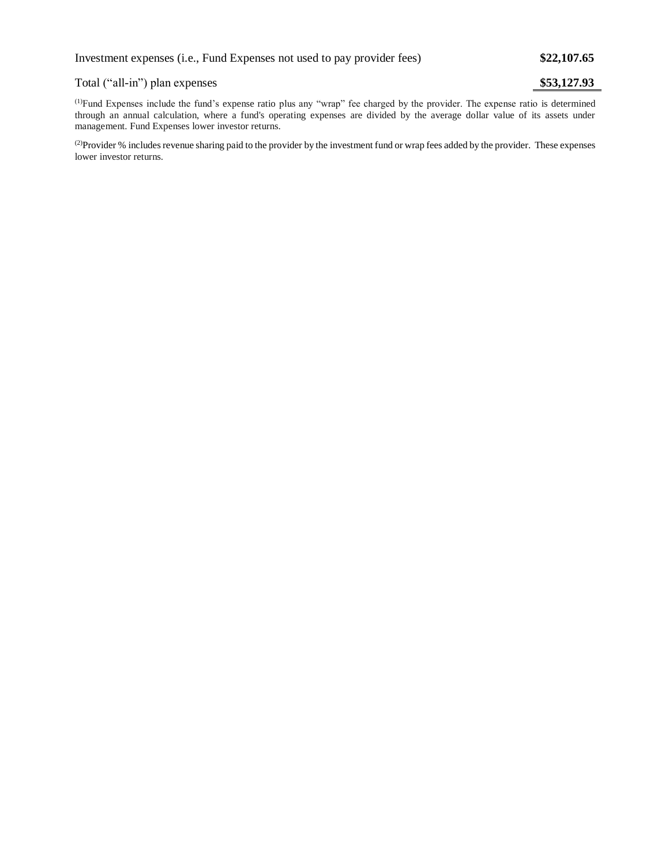## Total ("all-in") plan expenses **\$53,127.93**

(1)Fund Expenses include the fund's expense ratio plus any "wrap" fee charged by the provider. The expense ratio is determined through an annual calculation, where a fund's operating expenses are divided by the average dollar value of its assets under management. Fund Expenses lower investor returns.

<sup>(2)</sup>Provider % includes revenue sharing paid to the provider by the investment fund or wrap fees added by the provider. These expenses lower investor returns.